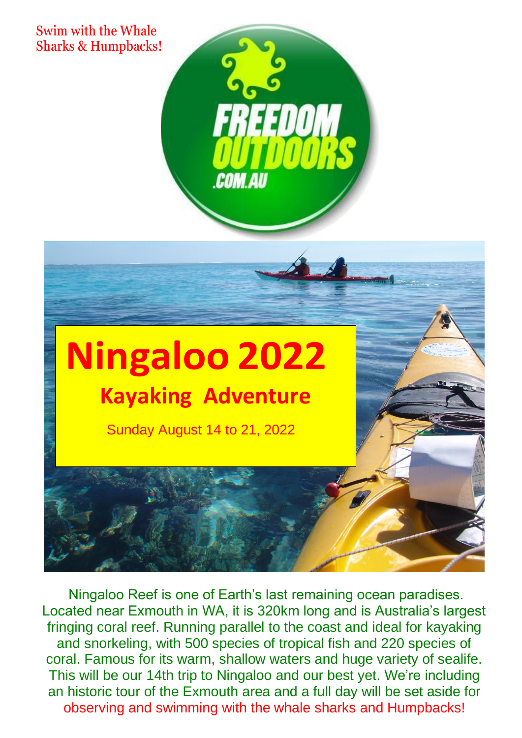Swim with the Whale Sharks & Humpbacks!



# **Ningaloo 2022 Kayaking Adventure**

Sunday August 14 to 21, 2022

Ningaloo Reef is one of Earth's last remaining ocean paradises. Located near Exmouth in WA, it is 320km long and is Australia's largest fringing coral reef. Running parallel to the coast and ideal for kayaking and snorkeling, with 500 species of tropical fish and 220 species of coral. Famous for its warm, shallow waters and huge variety of sealife. This will be our 14th trip to Ningaloo and our best yet. We're including an historic tour of the Exmouth area and a full day will be set aside for observing and swimming with the whale sharks and Humpbacks!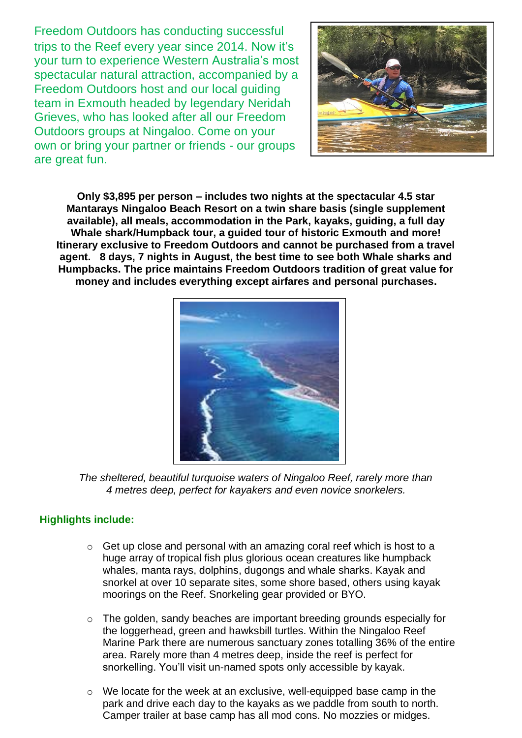Freedom Outdoors has conducting successful trips to the Reef every year since 2014. Now it's your turn to experience Western Australia's most spectacular natural attraction, accompanied by a Freedom Outdoors host and our local guiding team in Exmouth headed by legendary Neridah Grieves, who has looked after all our Freedom Outdoors groups at Ningaloo. Come on your own or bring your partner or friends - our groups are great fun.



**Only \$3,895 per person – includes two nights at the spectacular 4.5 star Mantarays Ningaloo Beach Resort on a twin share basis (single supplement available), all meals, accommodation in the Park, kayaks, guiding, a full day Whale shark/Humpback tour, a guided tour of historic Exmouth and more! Itinerary exclusive to Freedom Outdoors and cannot be purchased from a travel agent. 8 days, 7 nights in August, the best time to see both Whale sharks and Humpbacks. The price maintains Freedom Outdoors tradition of great value for money and includes everything except airfares and personal purchases.**



*The sheltered, beautiful turquoise waters of Ningaloo Reef, rarely more than 4 metres deep, perfect for kayakers and even novice snorkelers.*

# **Highlights include:**

- o Get up close and personal with an amazing coral reef which is host to a huge array of tropical fish plus glorious ocean creatures like humpback whales, manta rays, dolphins, dugongs and whale sharks. Kayak and snorkel at over 10 separate sites, some shore based, others using kayak moorings on the Reef. Snorkeling gear provided or BYO.
- o The golden, sandy beaches are important breeding grounds especially for the loggerhead, green and hawksbill turtles. Within the Ningaloo Reef Marine Park there are numerous sanctuary zones totalling 36% of the entire area. Rarely more than 4 metres deep, inside the reef is perfect for snorkelling. You'll visit un-named spots only accessible by kayak.
- o We locate for the week at an exclusive, well-equipped base camp in the park and drive each day to the kayaks as we paddle from south to north. Camper trailer at base camp has all mod cons. No mozzies or midges.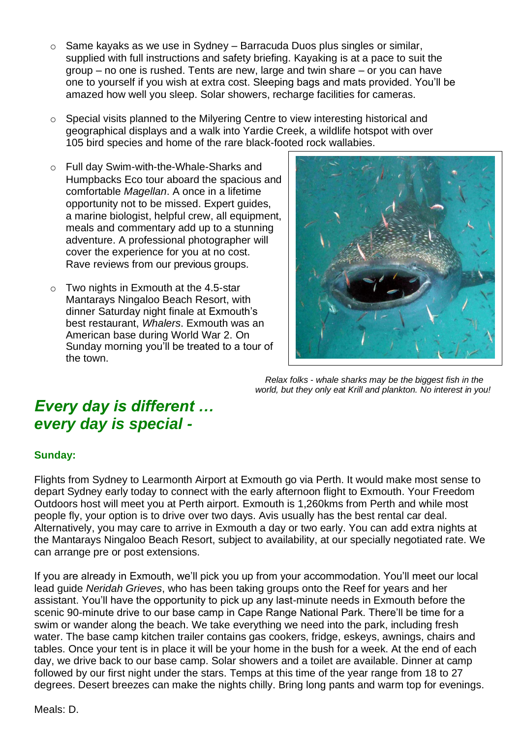- $\circ$  Same kayaks as we use in Sydney Barracuda Duos plus singles or similar, supplied with full instructions and safety briefing. Kayaking is at a pace to suit the group – no one is rushed. Tents are new, large and twin share – or you can have one to yourself if you wish at extra cost. Sleeping bags and mats provided. You'll be amazed how well you sleep. Solar showers, recharge facilities for cameras.
- o Special visits planned to the Milyering Centre to view interesting historical and geographical displays and a walk into Yardie Creek, a wildlife hotspot with over 105 bird species and home of the rare black-footed rock wallabies.
- o Full day Swim-with-the-Whale-Sharks and Humpbacks Eco tour aboard the spacious and comfortable *Magellan*. A once in a lifetime opportunity not to be missed. Expert guides, a marine biologist, helpful crew, all equipment, meals and commentary add up to a stunning adventure. A professional photographer will cover the experience for you at no cost. Rave reviews from our previous groups.
- o Two nights in Exmouth at the 4.5-star Mantarays Ningaloo Beach Resort, with dinner Saturday night finale at Exmouth's best restaurant, *Whalers*. Exmouth was an American base during World War 2. On Sunday morning you'll be treated to a tour of the town.



 *Relax folks - whale sharks may be the biggest fish in the world, but they only eat Krill and plankton. No interest in you!*

# *Every day is different … every day is special -*

#### **Sunday:**

Flights from Sydney to Learmonth Airport at Exmouth go via Perth. It would make most sense to depart Sydney early today to connect with the early afternoon flight to Exmouth. Your Freedom Outdoors host will meet you at Perth airport. Exmouth is 1,260kms from Perth and while most people fly, your option is to drive over two days. Avis usually has the best rental car deal. Alternatively, you may care to arrive in Exmouth a day or two early. You can add extra nights at the Mantarays Ningaloo Beach Resort, subject to availability, at our specially negotiated rate. We can arrange pre or post extensions.

If you are already in Exmouth, we'll pick you up from your accommodation. You'll meet our local lead guide *Neridah Grieves*, who has been taking groups onto the Reef for years and her assistant. You'll have the opportunity to pick up any last-minute needs in Exmouth before the scenic 90-minute drive to our base camp in Cape Range National Park. There'll be time for a swim or wander along the beach. We take everything we need into the park, including fresh water. The base camp kitchen trailer contains gas cookers, fridge, eskeys, awnings, chairs and tables. Once your tent is in place it will be your home in the bush for a week. At the end of each day, we drive back to our base camp. Solar showers and a toilet are available. Dinner at camp followed by our first night under the stars. Temps at this time of the year range from 18 to 27 degrees. Desert breezes can make the nights chilly. Bring long pants and warm top for evenings.

Meals: D.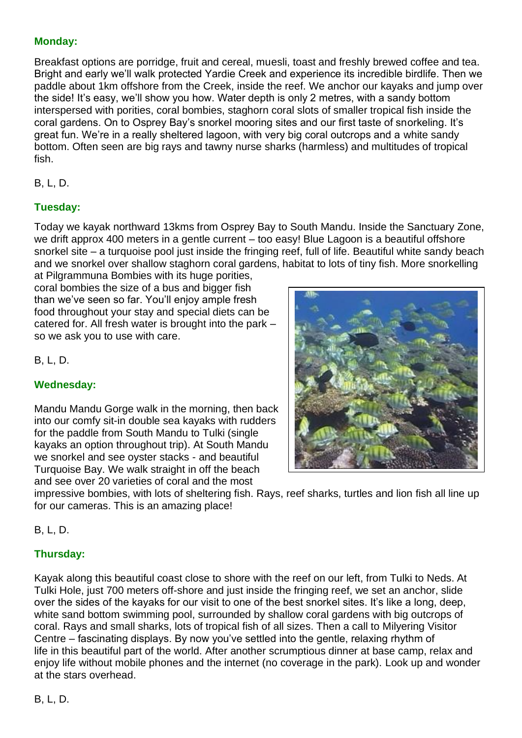### **Monday:**

Breakfast options are porridge, fruit and cereal, muesli, toast and freshly brewed coffee and tea. Bright and early we'll walk protected Yardie Creek and experience its incredible birdlife. Then we paddle about 1km offshore from the Creek, inside the reef. We anchor our kayaks and jump over the side! It's easy, we'll show you how. Water depth is only 2 metres, with a sandy bottom interspersed with porities, coral bombies, staghorn coral slots of smaller tropical fish inside the coral gardens. On to Osprey Bay's snorkel mooring sites and our first taste of snorkeling. It's great fun. We're in a really sheltered lagoon, with very big coral outcrops and a white sandy bottom. Often seen are big rays and tawny nurse sharks (harmless) and multitudes of tropical fish.

B, L, D.

# **Tuesday:**

Today we kayak northward 13kms from Osprey Bay to South Mandu. Inside the Sanctuary Zone, we drift approx 400 meters in a gentle current – too easy! Blue Lagoon is a beautiful offshore snorkel site – a turquoise pool just inside the fringing reef, full of life. Beautiful white sandy beach and we snorkel over shallow staghorn coral gardens, habitat to lots of tiny fish. More snorkelling

at Pilgrammuna Bombies with its huge porities, coral bombies the size of a bus and bigger fish than we've seen so far. You'll enjoy ample fresh food throughout your stay and special diets can be catered for. All fresh water is brought into the park – so we ask you to use with care.

B, L, D.

# **Wednesday:**

Mandu Mandu Gorge walk in the morning, then back into our comfy sit-in double sea kayaks with rudders for the paddle from South Mandu to Tulki (single kayaks an option throughout trip). At South Mandu we snorkel and see oyster stacks - and beautiful Turquoise Bay. We walk straight in off the beach and see over 20 varieties of coral and the most

impressive bombies, with lots of sheltering fish. Rays, reef sharks, turtles and lion fish all line up for our cameras. This is an amazing place!

B, L, D.

# **Thursday:**

Kayak along this beautiful coast close to shore with the reef on our left, from Tulki to Neds. At Tulki Hole, just 700 meters off-shore and just inside the fringing reef, we set an anchor, slide over the sides of the kayaks for our visit to one of the best snorkel sites. It's like a long, deep, white sand bottom swimming pool, surrounded by shallow coral gardens with big outcrops of coral. Rays and small sharks, lots of tropical fish of all sizes. Then a call to Milyering Visitor Centre – fascinating displays. By now you've settled into the gentle, relaxing rhythm of life in this beautiful part of the world. After another scrumptious dinner at base camp, relax and enjoy life without mobile phones and the internet (no coverage in the park). Look up and wonder at the stars overhead.

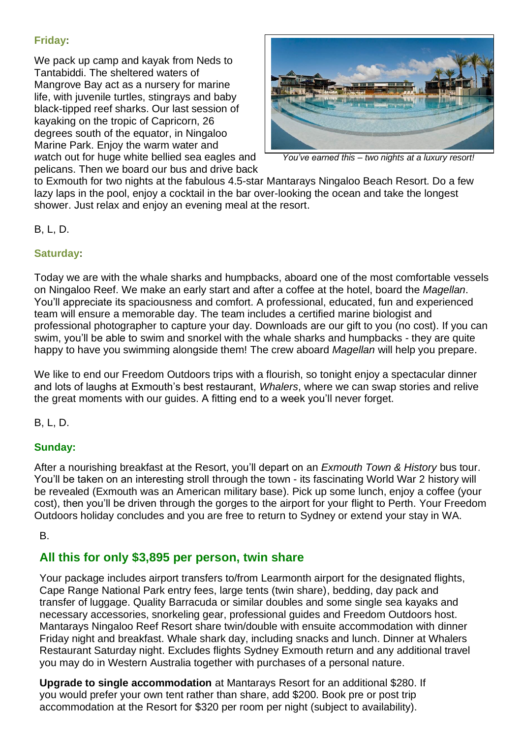# **Friday:**

We pack up camp and kayak from Neds to Tantabiddi. The sheltered waters of Mangrove Bay act as a nursery for marine life, with juvenile turtles, stingrays and baby black-tipped reef sharks. Our last session of kayaking on the tropic of Capricorn, 26 degrees south of the equator, in Ningaloo Marine Park. Enjoy the warm water and *w*atch out for huge white bellied sea eagles and *You've earned this – two nights at a luxury resort!* pelicans. Then we board our bus and drive back



to Exmouth for two nights at the fabulous 4.5-star Mantarays Ningaloo Beach Resort. Do a few lazy laps in the pool, enjoy a cocktail in the bar over-looking the ocean and take the longest shower. Just relax and enjoy an evening meal at the resort.

#### B, L, D.

#### **Saturday:**

Today we are with the whale sharks and humpbacks, aboard one of the most comfortable vessels on Ningaloo Reef. We make an early start and after a coffee at the hotel, board the *Magellan*. You'll appreciate its spaciousness and comfort. A professional, educated, fun and experienced team will ensure a memorable day. The team includes a certified marine biologist and professional photographer to capture your day. Downloads are our gift to you (no cost). If you can swim, you'll be able to swim and snorkel with the whale sharks and humpbacks - they are quite happy to have you swimming alongside them! The crew aboard *Magellan* will help you prepare.

We like to end our Freedom Outdoors trips with a flourish, so tonight enjoy a spectacular dinner and lots of laughs at Exmouth's best restaurant, *Whalers*, where we can swap stories and relive the great moments with our guides. A fitting end to a week you'll never forget.

B, L, D.

#### **Sunday:**

After a nourishing breakfast at the Resort, you'll depart on an *Exmouth Town & History* bus tour. You'll be taken on an interesting stroll through the town - its fascinating World War 2 history will be revealed (Exmouth was an American military base). Pick up some lunch, enjoy a coffee (your cost), then you'll be driven through the gorges to the airport for your flight to Perth. Your Freedom Outdoors holiday concludes and you are free to return to Sydney or extend your stay in WA.

#### B.

# **All this for only \$3,895 per person, twin share**

Your package includes airport transfers to/from Learmonth airport for the designated flights, Cape Range National Park entry fees, large tents (twin share), bedding, day pack and transfer of luggage. Quality Barracuda or similar doubles and some single sea kayaks and necessary accessories, snorkeling gear, professional guides and Freedom Outdoors host. Mantarays Ningaloo Reef Resort share twin/double with ensuite accommodation with dinner Friday night and breakfast. Whale shark day, including snacks and lunch. Dinner at Whalers Restaurant Saturday night. Excludes flights Sydney Exmouth return and any additional travel you may do in Western Australia together with purchases of a personal nature.

**Upgrade to single accommodation** at Mantarays Resort for an additional \$280. If you would prefer your own tent rather than share, add \$200. Book pre or post trip accommodation at the Resort for \$320 per room per night (subject to availability).